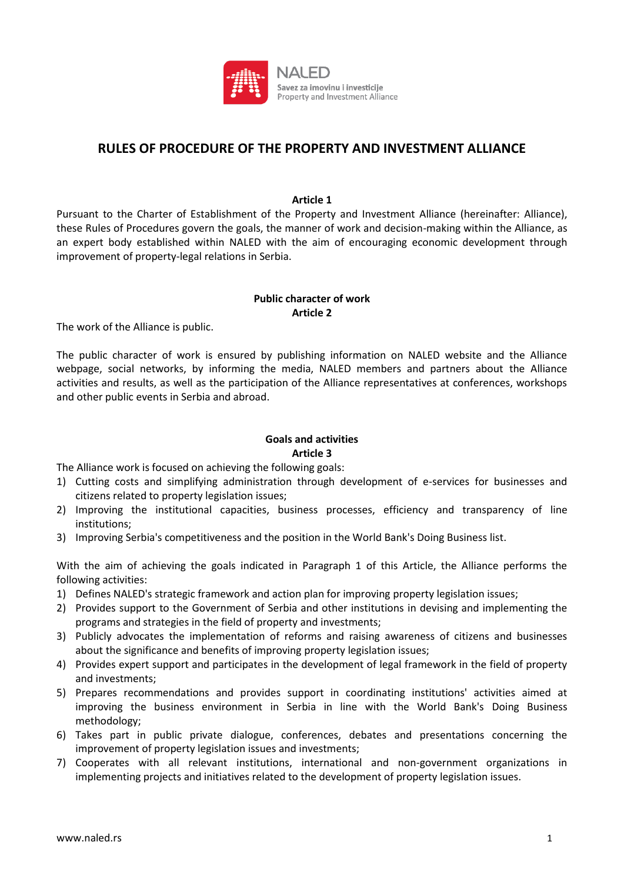

# **RULES OF PROCEDURE OF THE PROPERTY AND INVESTMENT ALLIANCE**

#### **Article 1**

Pursuant to the Charter of Establishment of the Property and Investment Alliance (hereinafter: Alliance), these Rules of Procedures govern the goals, the manner of work and decision-making within the Alliance, as an expert body established within NALED with the aim of encouraging economic development through improvement of property-legal relations in Serbia.

## **Public character of work Article 2**

The work of the Alliance is public.

The public character of work is ensured by publishing information on NALED website and the Alliance webpage, social networks, by informing the media, NALED members and partners about the Alliance activities and results, as well as the participation of the Alliance representatives at conferences, workshops and other public events in Serbia and abroad.

#### **Goals and activities Article 3**

The Alliance work is focused on achieving the following goals:

- 1) Cutting costs and simplifying administration through development of e-services for businesses and citizens related to property legislation issues;
- 2) Improving the institutional capacities, business processes, efficiency and transparency of line institutions;
- 3) Improving Serbia's competitiveness and the position in the World Bank's Doing Business list.

With the aim of achieving the goals indicated in Paragraph 1 of this Article, the Alliance performs the following activities:

- 1) Defines NALED's strategic framework and action plan for improving property legislation issues;
- 2) Provides support to the Government of Serbia and other institutions in devising and implementing the programs and strategies in the field of property and investments;
- 3) Publicly advocates the implementation of reforms and raising awareness of citizens and businesses about the significance and benefits of improving property legislation issues;
- 4) Provides expert support and participates in the development of legal framework in the field of property and investments;
- 5) Prepares recommendations and provides support in coordinating institutions' activities aimed at improving the business environment in Serbia in line with the World Bank's Doing Business methodology;
- 6) Takes part in public private dialogue, conferences, debates and presentations concerning the improvement of property legislation issues and investments;
- 7) Cooperates with all relevant institutions, international and non-government organizations in implementing projects and initiatives related to the development of property legislation issues.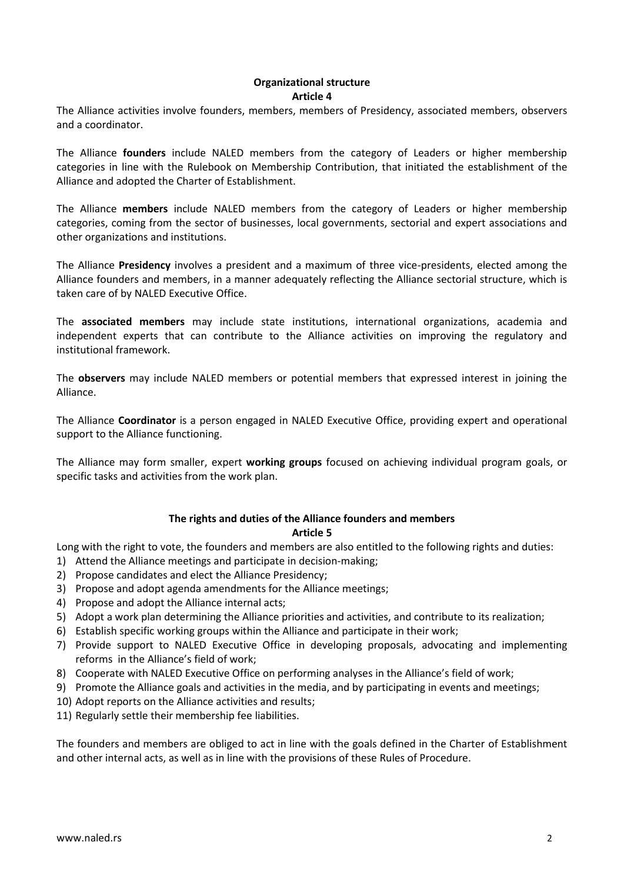# **Organizational structure Article 4**

The Alliance activities involve founders, members, members of Presidency, associated members, observers and a coordinator.

The Alliance **founders** include NALED members from the category of Leaders or higher membership categories in line with the Rulebook on Membership Contribution, that initiated the establishment of the Alliance and adopted the Charter of Establishment.

The Alliance **members** include NALED members from the category of Leaders or higher membership categories, coming from the sector of businesses, local governments, sectorial and expert associations and other organizations and institutions.

The Alliance **Presidency** involves a president and a maximum of three vice-presidents, elected among the Alliance founders and members, in a manner adequately reflecting the Alliance sectorial structure, which is taken care of by NALED Executive Office.

The **associated members** may include state institutions, international organizations, academia and independent experts that can contribute to the Alliance activities on improving the regulatory and institutional framework.

The **observers** may include NALED members or potential members that expressed interest in joining the Alliance.

The Alliance **Coordinator** is a person engaged in NALED Executive Office, providing expert and operational support to the Alliance functioning.

The Alliance may form smaller, expert **working groups** focused on achieving individual program goals, or specific tasks and activities from the work plan.

# **The rights and duties of the Alliance founders and members**

## **Article 5**

Long with the right to vote, the founders and members are also entitled to the following rights and duties:

- 1) Attend the Alliance meetings and participate in decision-making;
- 2) Propose candidates and elect the Alliance Presidency;
- 3) Propose and adopt agenda amendments for the Alliance meetings;
- 4) Propose and adopt the Alliance internal acts;
- 5) Adopt a work plan determining the Alliance priorities and activities, and contribute to its realization;
- 6) Establish specific working groups within the Alliance and participate in their work;
- 7) Provide support to NALED Executive Office in developing proposals, advocating and implementing reforms in the Alliance's field of work;
- 8) Cooperate with NALED Executive Office on performing analyses in the Alliance's field of work;
- 9) Promote the Alliance goals and activities in the media, and by participating in events and meetings;
- 10) Adopt reports on the Alliance activities and results;
- 11) Regularly settle their membership fee liabilities.

The founders and members are obliged to act in line with the goals defined in the Charter of Establishment and other internal acts, as well as in line with the provisions of these Rules of Procedure.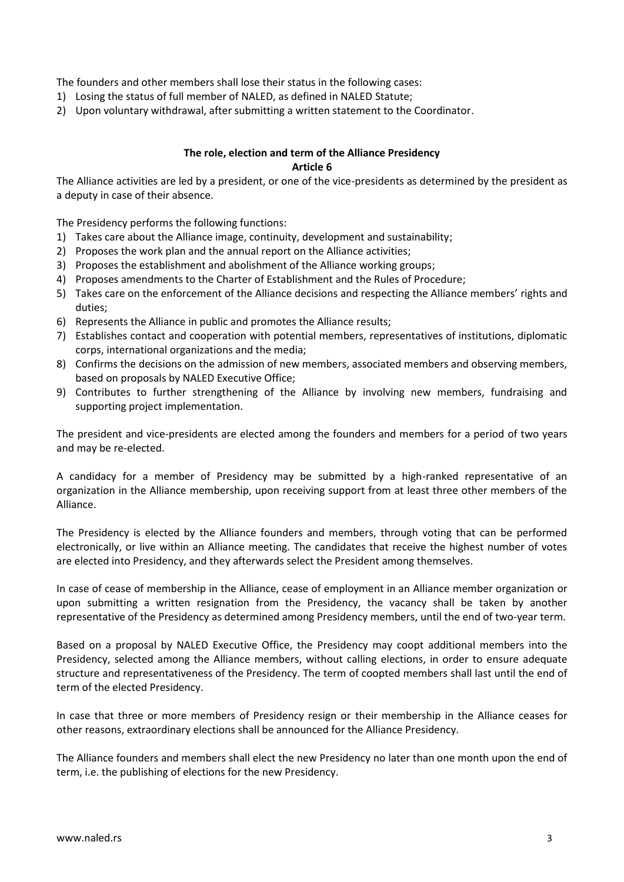The founders and other members shall lose their status in the following cases:

- 1) Losing the status of full member of NALED, as defined in NALED Statute;
- 2) Upon voluntary withdrawal, after submitting a written statement to the Coordinator.

# **The role, election and term of the Alliance Presidency Article 6**

The Alliance activities are led by a president, or one of the vice-presidents as determined by the president as a deputy in case of their absence.

The Presidency performs the following functions:

- 1) Takes care about the Alliance image, continuity, development and sustainability;
- 2) Proposes the work plan and the annual report on the Alliance activities;
- 3) Proposes the establishment and abolishment of the Alliance working groups;
- 4) Proposes amendments to the Charter of Establishment and the Rules of Procedure;
- 5) Takes care on the enforcement of the Alliance decisions and respecting the Alliance members' rights and duties;
- 6) Represents the Alliance in public and promotes the Alliance results;
- 7) Establishes contact and cooperation with potential members, representatives of institutions, diplomatic corps, international organizations and the media;
- 8) Confirms the decisions on the admission of new members, associated members and observing members, based on proposals by NALED Executive Office;
- 9) Contributes to further strengthening of the Alliance by involving new members, fundraising and supporting project implementation.

The president and vice-presidents are elected among the founders and members for a period of two years and may be re-elected.

A candidacy for a member of Presidency may be submitted by a high-ranked representative of an organization in the Alliance membership, upon receiving support from at least three other members of the Alliance.

The Presidency is elected by the Alliance founders and members, through voting that can be performed electronically, or live within an Alliance meeting. The candidates that receive the highest number of votes are elected into Presidency, and they afterwards select the President among themselves.

In case of cease of membership in the Alliance, cease of employment in an Alliance member organization or upon submitting a written resignation from the Presidency, the vacancy shall be taken by another representative of the Presidency as determined among Presidency members, until the end of two-year term.

Based on a proposal by NALED Executive Office, the Presidency may coopt additional members into the Presidency, selected among the Alliance members, without calling elections, in order to ensure adequate structure and representativeness of the Presidency. The term of coopted members shall last until the end of term of the elected Presidency.

In case that three or more members of Presidency resign or their membership in the Alliance ceases for other reasons, extraordinary elections shall be announced for the Alliance Presidency.

The Alliance founders and members shall elect the new Presidency no later than one month upon the end of term, i.e. the publishing of elections for the new Presidency.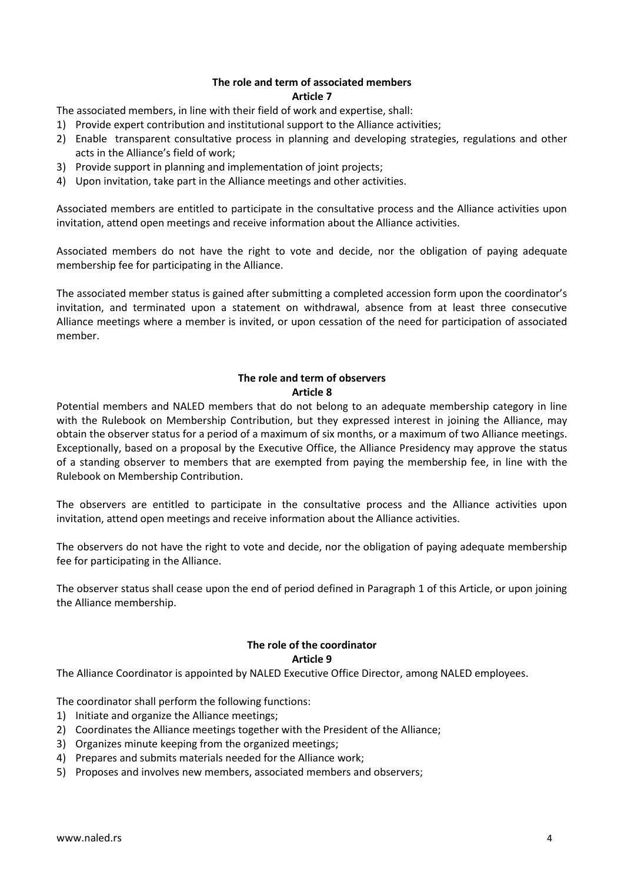## **The role and term of associated members Article 7**

The associated members, in line with their field of work and expertise, shall:

- 1) Provide expert contribution and institutional support to the Alliance activities;
- 2) Enable transparent consultative process in planning and developing strategies, regulations and other acts in the Alliance's field of work;
- 3) Provide support in planning and implementation of joint projects;
- 4) Upon invitation, take part in the Alliance meetings and other activities.

Associated members are entitled to participate in the consultative process and the Alliance activities upon invitation, attend open meetings and receive information about the Alliance activities.

Associated members do not have the right to vote and decide, nor the obligation of paying adequate membership fee for participating in the Alliance.

The associated member status is gained after submitting a completed accession form upon the coordinator's invitation, and terminated upon a statement on withdrawal, absence from at least three consecutive Alliance meetings where a member is invited, or upon cessation of the need for participation of associated member.

# **The role and term of observers Article 8**

Potential members and NALED members that do not belong to an adequate membership category in line with the Rulebook on Membership Contribution, but they expressed interest in joining the Alliance, may obtain the observer status for a period of a maximum of six months, or a maximum of two Alliance meetings. Exceptionally, based on a proposal by the Executive Office, the Alliance Presidency may approve the status of a standing observer to members that are exempted from paying the membership fee, in line with the Rulebook on Membership Contribution.

The observers are entitled to participate in the consultative process and the Alliance activities upon invitation, attend open meetings and receive information about the Alliance activities.

The observers do not have the right to vote and decide, nor the obligation of paying adequate membership fee for participating in the Alliance.

The observer status shall cease upon the end of period defined in Paragraph 1 of this Article, or upon joining the Alliance membership.

#### **The role of the coordinator Article 9**

The Alliance Coordinator is appointed by NALED Executive Office Director, among NALED employees.

The coordinator shall perform the following functions:

- 1) Initiate and organize the Alliance meetings;
- 2) Coordinates the Alliance meetings together with the President of the Alliance;
- 3) Organizes minute keeping from the organized meetings;
- 4) Prepares and submits materials needed for the Alliance work;
- 5) Proposes and involves new members, associated members and observers;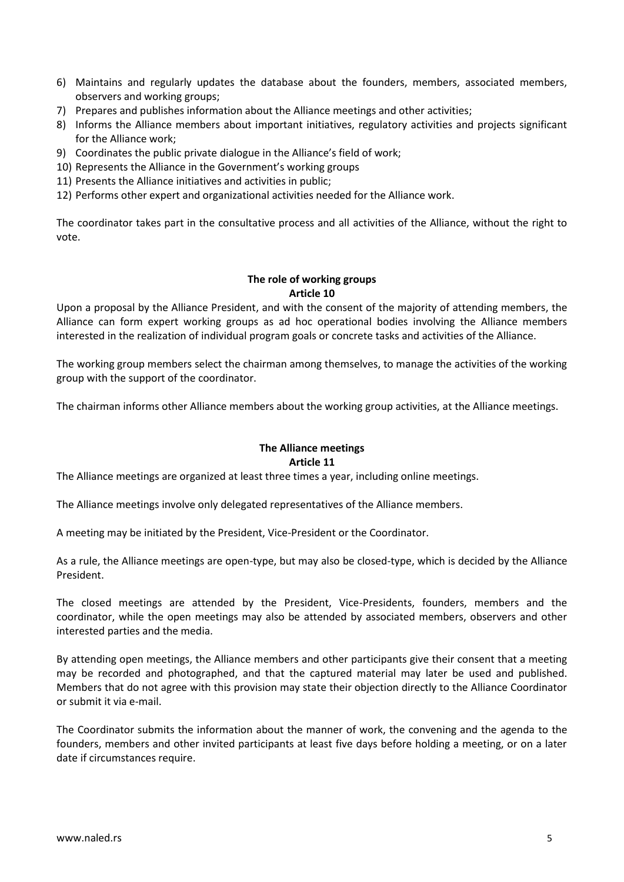- 6) Maintains and regularly updates the database about the founders, members, associated members, observers and working groups;
- 7) Prepares and publishes information about the Alliance meetings and other activities;
- 8) Informs the Alliance members about important initiatives, regulatory activities and projects significant for the Alliance work;
- 9) Coordinates the public private dialogue in the Alliance's field of work;
- 10) Represents the Alliance in the Government's working groups
- 11) Presents the Alliance initiatives and activities in public;
- 12) Performs other expert and organizational activities needed for the Alliance work.

The coordinator takes part in the consultative process and all activities of the Alliance, without the right to vote.

#### **The role of working groups Article 10**

Upon a proposal by the Alliance President, and with the consent of the majority of attending members, the Alliance can form expert working groups as ad hoc operational bodies involving the Alliance members interested in the realization of individual program goals or concrete tasks and activities of the Alliance.

The working group members select the chairman among themselves, to manage the activities of the working group with the support of the coordinator.

The chairman informs other Alliance members about the working group activities, at the Alliance meetings.

## **The Alliance meetings Article 11**

The Alliance meetings are organized at least three times a year, including online meetings.

The Alliance meetings involve only delegated representatives of the Alliance members.

A meeting may be initiated by the President, Vice-President or the Coordinator.

As a rule, the Alliance meetings are open-type, but may also be closed-type, which is decided by the Alliance President.

The closed meetings are attended by the President, Vice-Presidents, founders, members and the coordinator, while the open meetings may also be attended by associated members, observers and other interested parties and the media.

By attending open meetings, the Alliance members and other participants give their consent that a meeting may be recorded and photographed, and that the captured material may later be used and published. Members that do not agree with this provision may state their objection directly to the Alliance Coordinator or submit it via e-mail.

The Coordinator submits the information about the manner of work, the convening and the agenda to the founders, members and other invited participants at least five days before holding a meeting, or on a later date if circumstances require.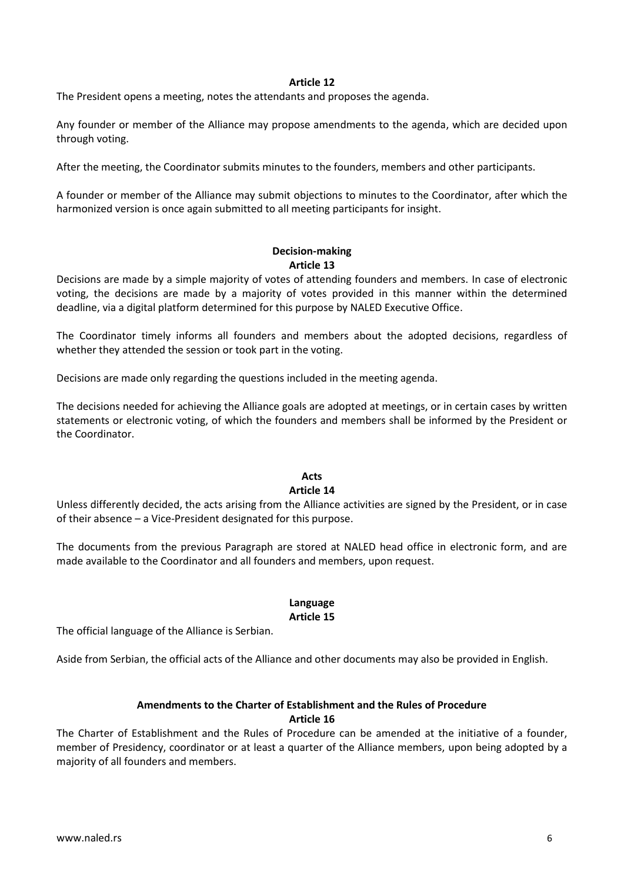#### **Article 12**

The President opens a meeting, notes the attendants and proposes the agenda.

Any founder or member of the Alliance may propose amendments to the agenda, which are decided upon through voting.

After the meeting, the Coordinator submits minutes to the founders, members and other participants.

A founder or member of the Alliance may submit objections to minutes to the Coordinator, after which the harmonized version is once again submitted to all meeting participants for insight.

#### **Decision-making Article 13**

Decisions are made by a simple majority of votes of attending founders and members. In case of electronic voting, the decisions are made by a majority of votes provided in this manner within the determined deadline, via a digital platform determined for this purpose by NALED Executive Office.

The Coordinator timely informs all founders and members about the adopted decisions, regardless of whether they attended the session or took part in the voting.

Decisions are made only regarding the questions included in the meeting agenda.

The decisions needed for achieving the Alliance goals are adopted at meetings, or in certain cases by written statements or electronic voting, of which the founders and members shall be informed by the President or the Coordinator.

#### **Acts**

#### **Article 14**

Unless differently decided, the acts arising from the Alliance activities are signed by the President, or in case of their absence – a Vice-President designated for this purpose.

The documents from the previous Paragraph are stored at NALED head office in electronic form, and are made available to the Coordinator and all founders and members, upon request.

# **Language**

#### **Article 15**

The official language of the Alliance is Serbian.

Aside from Serbian, the official acts of the Alliance and other documents may also be provided in English.

## **Amendments to the Charter of Establishment and the Rules of Procedure Article 16**

The Charter of Establishment and the Rules of Procedure can be amended at the initiative of a founder, member of Presidency, coordinator or at least a quarter of the Alliance members, upon being adopted by a majority of all founders and members.